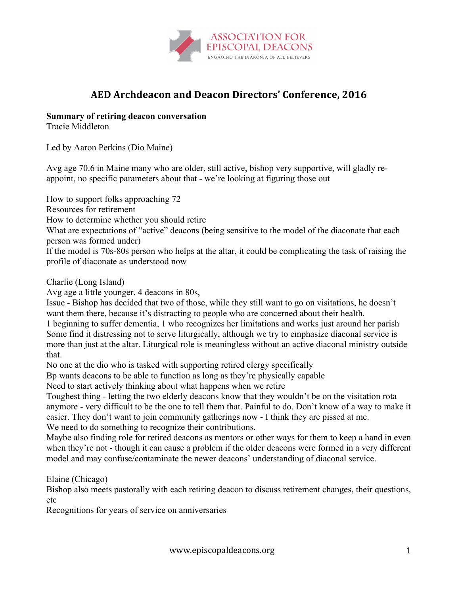

# **AED Archdeacon and Deacon Directors' Conference, 2016**

### **Summary of retiring deacon conversation**

Tracie Middleton

Led by Aaron Perkins (Dio Maine)

Avg age 70.6 in Maine many who are older, still active, bishop very supportive, will gladly reappoint, no specific parameters about that - we're looking at figuring those out

How to support folks approaching 72

Resources for retirement

How to determine whether you should retire

What are expectations of "active" deacons (being sensitive to the model of the diaconate that each person was formed under)

If the model is 70s-80s person who helps at the altar, it could be complicating the task of raising the profile of diaconate as understood now

Charlie (Long Island)

Avg age a little younger. 4 deacons in 80s,

Issue - Bishop has decided that two of those, while they still want to go on visitations, he doesn't want them there, because it's distracting to people who are concerned about their health.

1 beginning to suffer dementia, 1 who recognizes her limitations and works just around her parish Some find it distressing not to serve liturgically, although we try to emphasize diaconal service is more than just at the altar. Liturgical role is meaningless without an active diaconal ministry outside that.

No one at the dio who is tasked with supporting retired clergy specifically

Bp wants deacons to be able to function as long as they're physically capable

Need to start actively thinking about what happens when we retire

Toughest thing - letting the two elderly deacons know that they wouldn't be on the visitation rota anymore - very difficult to be the one to tell them that. Painful to do. Don't know of a way to make it easier. They don't want to join community gatherings now - I think they are pissed at me. We need to do something to recognize their contributions.

Maybe also finding role for retired deacons as mentors or other ways for them to keep a hand in even when they're not - though it can cause a problem if the older deacons were formed in a very different model and may confuse/contaminate the newer deacons' understanding of diaconal service.

Elaine (Chicago)

Bishop also meets pastorally with each retiring deacon to discuss retirement changes, their questions, etc

Recognitions for years of service on anniversaries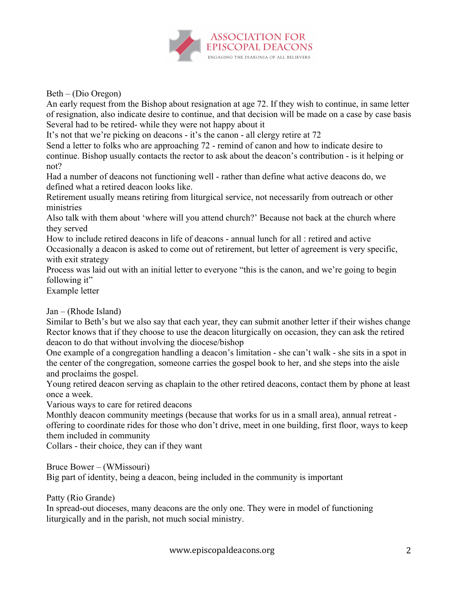

Beth – (Dio Oregon)

An early request from the Bishop about resignation at age 72. If they wish to continue, in same letter of resignation, also indicate desire to continue, and that decision will be made on a case by case basis Several had to be retired- while they were not happy about it

It's not that we're picking on deacons - it's the canon - all clergy retire at 72

Send a letter to folks who are approaching 72 - remind of canon and how to indicate desire to continue. Bishop usually contacts the rector to ask about the deacon's contribution - is it helping or not?

Had a number of deacons not functioning well - rather than define what active deacons do, we defined what a retired deacon looks like.

Retirement usually means retiring from liturgical service, not necessarily from outreach or other ministries

Also talk with them about 'where will you attend church?' Because not back at the church where they served

How to include retired deacons in life of deacons - annual lunch for all : retired and active Occasionally a deacon is asked to come out of retirement, but letter of agreement is very specific, with exit strategy

Process was laid out with an initial letter to everyone "this is the canon, and we're going to begin following it"

Example letter

# Jan – (Rhode Island)

Similar to Beth's but we also say that each year, they can submit another letter if their wishes change Rector knows that if they choose to use the deacon liturgically on occasion, they can ask the retired deacon to do that without involving the diocese/bishop

One example of a congregation handling a deacon's limitation - she can't walk - she sits in a spot in the center of the congregation, someone carries the gospel book to her, and she steps into the aisle and proclaims the gospel.

Young retired deacon serving as chaplain to the other retired deacons, contact them by phone at least once a week.

Various ways to care for retired deacons

Monthly deacon community meetings (because that works for us in a small area), annual retreat offering to coordinate rides for those who don't drive, meet in one building, first floor, ways to keep them included in community

Collars - their choice, they can if they want

Bruce Bower – (WMissouri)

Big part of identity, being a deacon, being included in the community is important

Patty (Rio Grande)

In spread-out dioceses, many deacons are the only one. They were in model of functioning liturgically and in the parish, not much social ministry.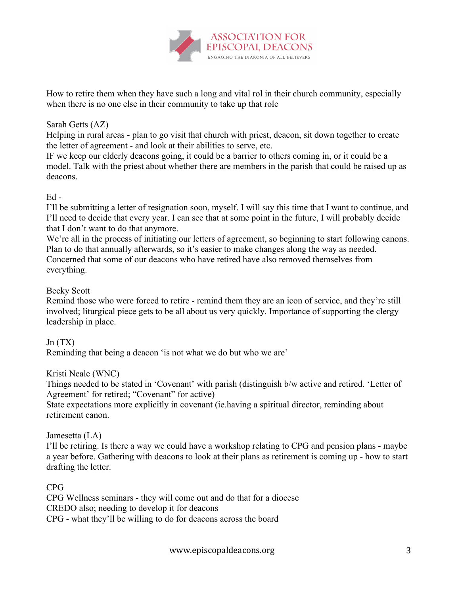

How to retire them when they have such a long and vital rol in their church community, especially when there is no one else in their community to take up that role

## Sarah Getts (AZ)

Helping in rural areas - plan to go visit that church with priest, deacon, sit down together to create the letter of agreement - and look at their abilities to serve, etc.

IF we keep our elderly deacons going, it could be a barrier to others coming in, or it could be a model. Talk with the priest about whether there are members in the parish that could be raised up as deacons.

### $Ed -$

I'll be submitting a letter of resignation soon, myself. I will say this time that I want to continue, and I'll need to decide that every year. I can see that at some point in the future, I will probably decide that I don't want to do that anymore.

We're all in the process of initiating our letters of agreement, so beginning to start following canons. Plan to do that annually afterwards, so it's easier to make changes along the way as needed. Concerned that some of our deacons who have retired have also removed themselves from everything.

### Becky Scott

Remind those who were forced to retire - remind them they are an icon of service, and they're still involved; liturgical piece gets to be all about us very quickly. Importance of supporting the clergy leadership in place.

# $Jn(TX)$

Reminding that being a deacon 'is not what we do but who we are'

Kristi Neale (WNC)

Things needed to be stated in 'Covenant' with parish (distinguish b/w active and retired. 'Letter of Agreement' for retired; "Covenant" for active)

State expectations more explicitly in covenant (ie.having a spiritual director, reminding about retirement canon.

#### Jamesetta (LA)

I'll be retiring. Is there a way we could have a workshop relating to CPG and pension plans - maybe a year before. Gathering with deacons to look at their plans as retirement is coming up - how to start drafting the letter.

#### CPG

CPG Wellness seminars - they will come out and do that for a diocese CREDO also; needing to develop it for deacons CPG - what they'll be willing to do for deacons across the board